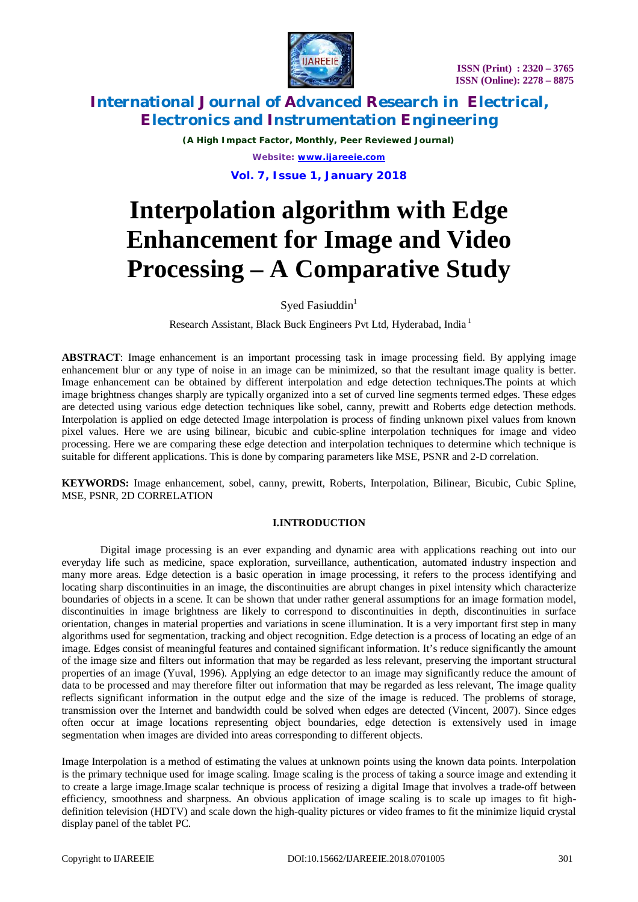

*(A High Impact Factor, Monthly, Peer Reviewed Journal) Website: [www.ijareeie.com](http://www.ijareeie.com)* **Vol. 7, Issue 1, January 2018**

# **Interpolation algorithm with Edge Enhancement for Image and Video Processing – A Comparative Study**

Syed Fasiuddin $1$ 

Research Assistant, Black Buck Engineers Pvt Ltd, Hyderabad, India <sup>1</sup>

**ABSTRACT**: Image enhancement is an important processing task in image processing field. By applying image enhancement blur or any type of noise in an image can be minimized, so that the resultant image quality is better. Image enhancement can be obtained by different interpolation and edge detection techniques.The points at which image brightness changes sharply are typically organized into a set of curved line segments termed edges. These edges are detected using various edge detection techniques like sobel, canny, prewitt and Roberts edge detection methods. Interpolation is applied on edge detected Image interpolation is process of finding unknown pixel values from known pixel values. Here we are using bilinear, bicubic and cubic-spline interpolation techniques for image and video processing. Here we are comparing these edge detection and interpolation techniques to determine which technique is suitable for different applications. This is done by comparing parameters like MSE, PSNR and 2-D correlation.

**KEYWORDS:** Image enhancement, sobel, canny, prewitt, Roberts, Interpolation, Bilinear, Bicubic, Cubic Spline, MSE, PSNR, 2D CORRELATION

### **I.INTRODUCTION**

Digital image processing is an ever expanding and dynamic area with applications reaching out into our everyday life such as medicine, space exploration, surveillance, authentication, automated industry inspection and many more areas. Edge detection is a basic operation in image processing, it refers to the process identifying and locating sharp discontinuities in an image, the discontinuities are abrupt changes in pixel intensity which characterize boundaries of objects in a scene. It can be shown that under rather general assumptions for an image formation model, discontinuities in image brightness are likely to correspond to discontinuities in depth, discontinuities in surface orientation, changes in material properties and variations in scene illumination. It is a very important first step in many algorithms used for segmentation, tracking and object recognition. Edge detection is a process of locating an edge of an image. Edges consist of meaningful features and contained significant information. It's reduce significantly the amount of the image size and filters out information that may be regarded as less relevant, preserving the important structural properties of an image (Yuval, 1996). Applying an edge detector to an image may significantly reduce the amount of data to be processed and may therefore filter out information that may be regarded as less relevant, The image quality reflects significant information in the output edge and the size of the image is reduced. The problems of storage, transmission over the Internet and bandwidth could be solved when edges are detected (Vincent, 2007). Since edges often occur at image locations representing object boundaries, edge detection is extensively used in image segmentation when images are divided into areas corresponding to different objects.

Image Interpolation is a method of estimating the values at unknown points using the known data points. Interpolation is the primary technique used for image scaling. Image scaling is the process of taking a source image and extending it to create a large image.Image scalar technique is process of resizing a digital Image that involves a trade-off between efficiency, smoothness and sharpness. An obvious application of image scaling is to scale up images to fit highdefinition television (HDTV) and scale down the high-quality pictures or video frames to fit the minimize liquid crystal display panel of the tablet PC.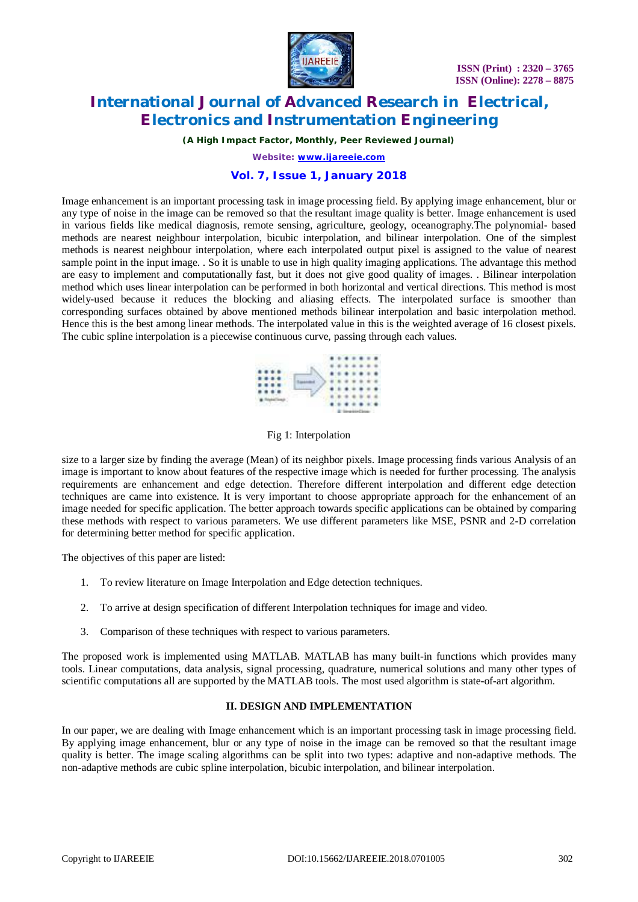

*(A High Impact Factor, Monthly, Peer Reviewed Journal)*

*Website: [www.ijareeie.com](http://www.ijareeie.com)*

## **Vol. 7, Issue 1, January 2018**

Image enhancement is an important processing task in image processing field. By applying image enhancement, blur or any type of noise in the image can be removed so that the resultant image quality is better. Image enhancement is used in various fields like medical diagnosis, remote sensing, agriculture, geology, oceanography.The polynomial- based methods are nearest neighbour interpolation, bicubic interpolation, and bilinear interpolation. One of the simplest methods is nearest neighbour interpolation, where each interpolated output pixel is assigned to the value of nearest sample point in the input image. . So it is unable to use in high quality imaging applications. The advantage this method are easy to implement and computationally fast, but it does not give good quality of images. . Bilinear interpolation method which uses linear interpolation can be performed in both horizontal and vertical directions. This method is most widely-used because it reduces the blocking and aliasing effects. The interpolated surface is smoother than corresponding surfaces obtained by above mentioned methods bilinear interpolation and basic interpolation method. Hence this is the best among linear methods. The interpolated value in this is the weighted average of 16 closest pixels. The cubic spline interpolation is a piecewise continuous curve, passing through each values.



Fig 1: Interpolation

size to a larger size by finding the average (Mean) of its neighbor pixels. Image processing finds various Analysis of an image is important to know about features of the respective image which is needed for further processing. The analysis requirements are enhancement and edge detection. Therefore different interpolation and different edge detection techniques are came into existence. It is very important to choose appropriate approach for the enhancement of an image needed for specific application. The better approach towards specific applications can be obtained by comparing these methods with respect to various parameters. We use different parameters like MSE, PSNR and 2-D correlation for determining better method for specific application.

The objectives of this paper are listed:

- 1. To review literature on Image Interpolation and Edge detection techniques.
- 2. To arrive at design specification of different Interpolation techniques for image and video.
- 3. Comparison of these techniques with respect to various parameters.

The proposed work is implemented using MATLAB. MATLAB has many built-in functions which provides many tools. Linear computations, data analysis, signal processing, quadrature, numerical solutions and many other types of scientific computations all are supported by the MATLAB tools. The most used algorithm is state-of-art algorithm.

#### **II. DESIGN AND IMPLEMENTATION**

In our paper, we are dealing with Image enhancement which is an important processing task in image processing field. By applying image enhancement, blur or any type of noise in the image can be removed so that the resultant image quality is better. The image scaling algorithms can be split into two types: adaptive and non-adaptive methods. The non-adaptive methods are cubic spline interpolation, bicubic interpolation, and bilinear interpolation.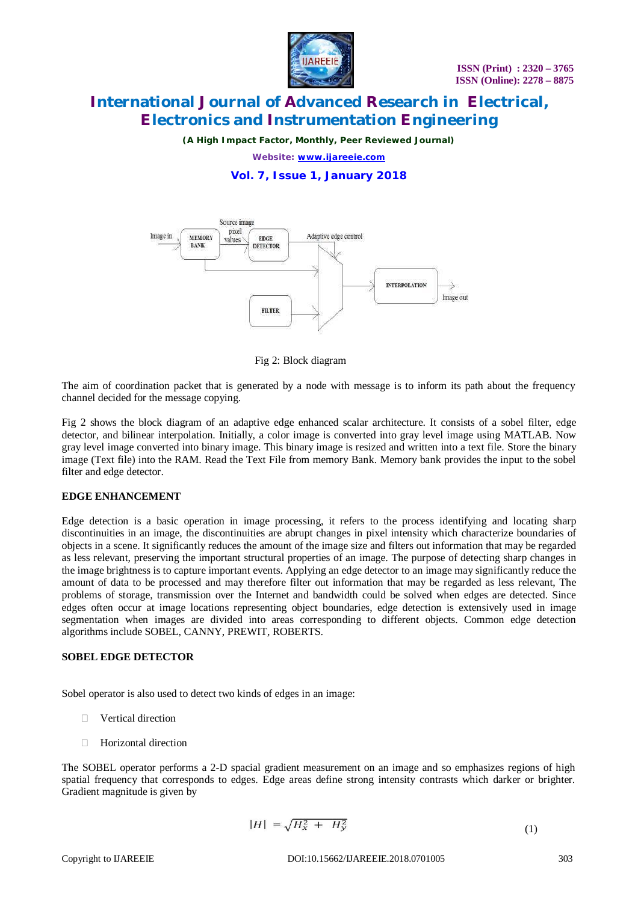

*(A High Impact Factor, Monthly, Peer Reviewed Journal)*

*Website: [www.ijareeie.com](http://www.ijareeie.com)*

**Vol. 7, Issue 1, January 2018**



Fig 2: Block diagram

The aim of coordination packet that is generated by a node with message is to inform its path about the frequency channel decided for the message copying.

Fig 2 shows the block diagram of an adaptive edge enhanced scalar architecture. It consists of a sobel filter, edge detector, and bilinear interpolation. Initially, a color image is converted into gray level image using MATLAB. Now gray level image converted into binary image. This binary image is resized and written into a text file. Store the binary image (Text file) into the RAM. Read the Text File from memory Bank. Memory bank provides the input to the sobel filter and edge detector.

#### **EDGE ENHANCEMENT**

Edge detection is a basic operation in image processing, it refers to the process identifying and locating sharp discontinuities in an image, the discontinuities are abrupt changes in pixel intensity which characterize boundaries of objects in a scene. It significantly reduces the amount of the image size and filters out information that may be regarded as less relevant, preserving the important structural properties of an image. The purpose of detecting sharp changes in the image brightness is to capture important events. Applying an edge detector to an image may significantly reduce the amount of data to be processed and may therefore filter out information that may be regarded as less relevant, The problems of storage, transmission over the Internet and bandwidth could be solved when edges are detected. Since edges often occur at image locations representing object boundaries, edge detection is extensively used in image segmentation when images are divided into areas corresponding to different objects. Common edge detection algorithms include SOBEL, CANNY, PREWIT, ROBERTS.

#### **SOBEL EDGE DETECTOR**

Sobel operator is also used to detect two kinds of edges in an image:

- **D** Vertical direction
- Horizontal direction

The SOBEL operator performs a 2-D spacial gradient measurement on an image and so emphasizes regions of high spatial frequency that corresponds to edges. Edge areas define strong intensity contrasts which darker or brighter. Gradient magnitude is given by

$$
|H| = \sqrt{H_x^2 + H_y^2}
$$
 (1)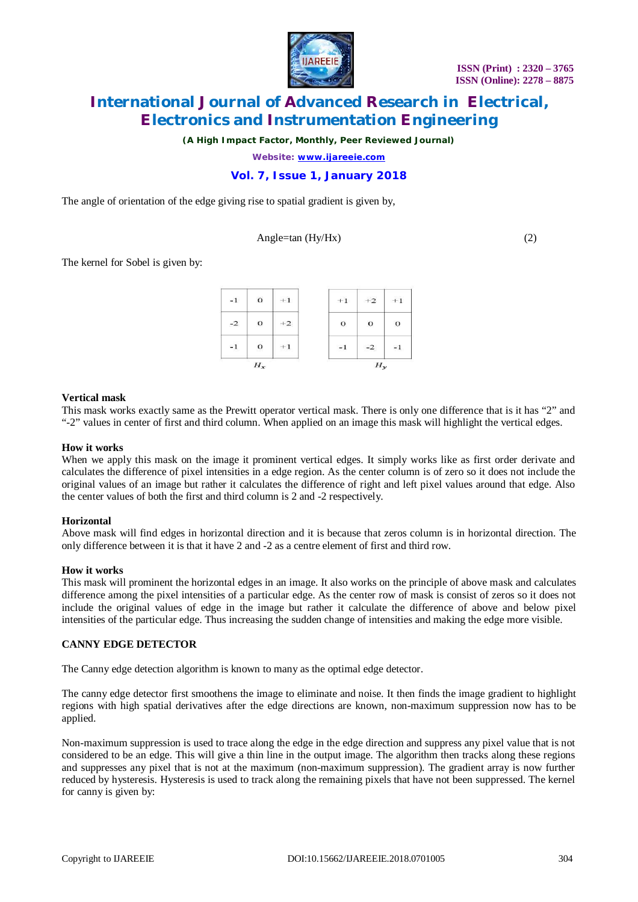

*(A High Impact Factor, Monthly, Peer Reviewed Journal)*

*Website: [www.ijareeie.com](http://www.ijareeie.com)*

## **Vol. 7, Issue 1, January 2018**

The angle of orientation of the edge giving rise to spatial gradient is given by,

#### $Angle = tan(Hv/Hx)$  (2)

The kernel for Sobel is given by:

| $^{\rm -1}$ | $\mathbf{o}$ | $+1$ | $+1$        | $+2$     | $+1$         |  |
|-------------|--------------|------|-------------|----------|--------------|--|
| $-2$        | $\mathbf{o}$ | $+2$ | $\mathbf O$ | $\Omega$ | $\mathbf{o}$ |  |
| $^{\rm -1}$ | $\circ$      | $+1$ | $-1$        | $-2$     | $-1$         |  |
| $H_x$       |              |      | $H_y$       |          |              |  |

#### **Vertical mask**

This mask works exactly same as the Prewitt operator vertical mask. There is only one difference that is it has "2" and "-2" values in center of first and third column. When applied on an image this mask will highlight the vertical edges.

#### **How it works**

When we apply this mask on the image it prominent vertical edges. It simply works like as first order derivate and calculates the difference of pixel intensities in a edge region. As the center column is of zero so it does not include the original values of an image but rather it calculates the difference of right and left pixel values around that edge. Also the center values of both the first and third column is 2 and -2 respectively.

#### **Horizontal**

Above mask will find edges in horizontal direction and it is because that zeros column is in horizontal direction. The only difference between it is that it have 2 and -2 as a centre element of first and third row.

#### **How it works**

This mask will prominent the horizontal edges in an image. It also works on the principle of above mask and calculates difference among the pixel intensities of a particular edge. As the center row of mask is consist of zeros so it does not include the original values of edge in the image but rather it calculate the difference of above and below pixel intensities of the particular edge. Thus increasing the sudden change of intensities and making the edge more visible.

#### **CANNY EDGE DETECTOR**

The Canny edge detection algorithm is known to many as the optimal edge detector.

The canny edge detector first smoothens the image to eliminate and noise. It then finds the image gradient to highlight regions with high spatial derivatives after the edge directions are known, non-maximum suppression now has to be applied.

Non-maximum suppression is used to trace along the edge in the edge direction and suppress any pixel value that is not considered to be an edge. This will give a thin line in the output image. The algorithm then tracks along these regions and suppresses any pixel that is not at the maximum (non-maximum suppression). The gradient array is now further reduced by hysteresis. Hysteresis is used to track along the remaining pixels that have not been suppressed. The kernel for canny is given by: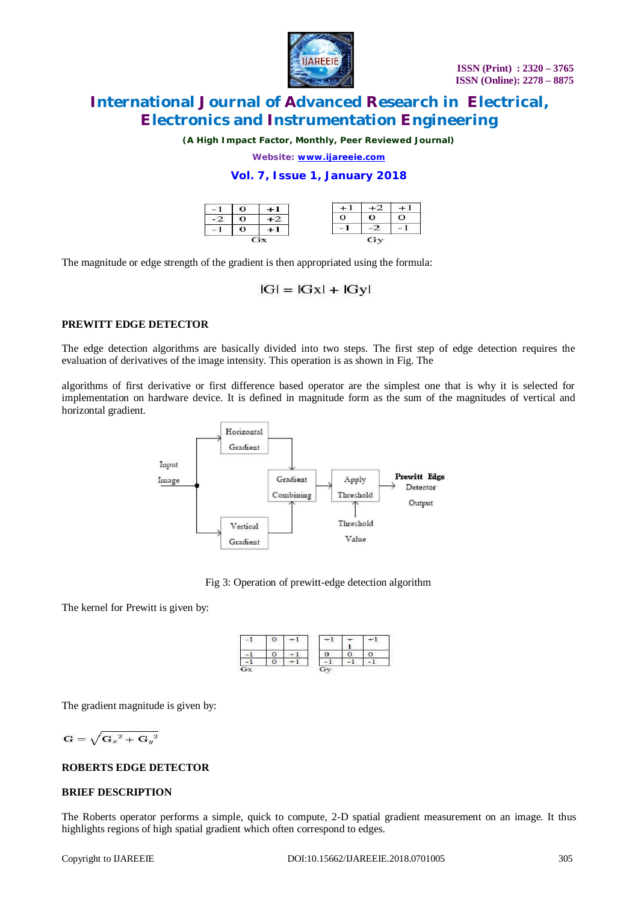

*(A High Impact Factor, Monthly, Peer Reviewed Journal)*

*Website: [www.ijareeie.com](http://www.ijareeie.com)*

**Vol. 7, Issue 1, January 2018**

|  |   | - 1 |  |
|--|---|-----|--|
|  |   |     |  |
|  | . | .   |  |

The magnitude or edge strength of the gradient is then appropriated using the formula:

# $|G| = |Gx| + |Gy|$

#### **PREWITT EDGE DETECTOR**

The edge detection algorithms are basically divided into two steps. The first step of edge detection requires the evaluation of derivatives of the image intensity. This operation is as shown in Fig. The

algorithms of first derivative or first difference based operator are the simplest one that is why it is selected for implementation on hardware device. It is defined in magnitude form as the sum of the magnitudes of vertical and horizontal gradient.





The kernel for Prewitt is given by:



The gradient magnitude is given by:

$$
\mathbf{G}=\sqrt{{\mathbf{G}_x}^2+{\mathbf{G}_y}^2}
$$

#### **ROBERTS EDGE DETECTOR**

# **BRIEF DESCRIPTION**

The Roberts operator performs a simple, quick to compute, 2-D spatial gradient measurement on an image. It thus highlights regions of high spatial gradient which often correspond to edges.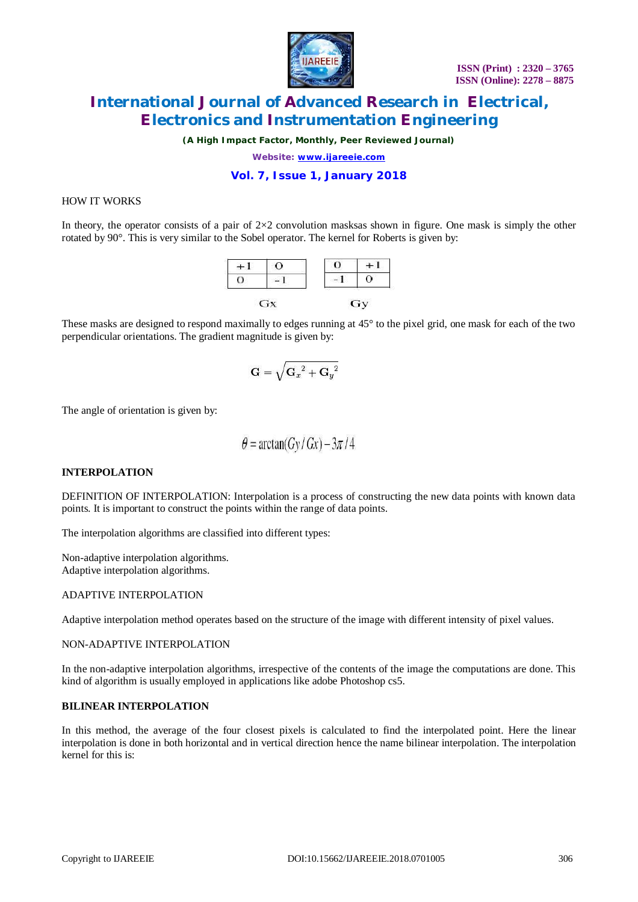

*(A High Impact Factor, Monthly, Peer Reviewed Journal)*

*Website: [www.ijareeie.com](http://www.ijareeie.com)*

### **Vol. 7, Issue 1, January 2018**

#### HOW IT WORKS

In theory, the operator consists of a pair of  $2\times2$  convolution masks a shown in figure. One mask is simply the other rotated by 90°. This is very similar to the Sobel operator. The kernel for Roberts is given by:



These masks are designed to respond maximally to edges running at 45° to the pixel grid, one mask for each of the two perpendicular orientations. The gradient magnitude is given by:

$$
\mathbf{G}=\sqrt{{\mathbf{G}_x}^2+{\mathbf{G}_y}^2}
$$

The angle of orientation is given by:

$$
\theta = \arctan(Gy/Gx) - 3\pi/4
$$

#### **INTERPOLATION**

DEFINITION OF INTERPOLATION: Interpolation is a process of constructing the new data points with known data points. It is important to construct the points within the range of data points.

The interpolation algorithms are classified into different types:

Non-adaptive interpolation algorithms. Adaptive interpolation algorithms.

#### ADAPTIVE INTERPOLATION

Adaptive interpolation method operates based on the structure of the image with different intensity of pixel values.

#### NON-ADAPTIVE INTERPOLATION

In the non-adaptive interpolation algorithms, irrespective of the contents of the image the computations are done. This kind of algorithm is usually employed in applications like adobe Photoshop cs5.

#### **BILINEAR INTERPOLATION**

In this method, the average of the four closest pixels is calculated to find the interpolated point. Here the linear interpolation is done in both horizontal and in vertical direction hence the name bilinear interpolation. The interpolation kernel for this is: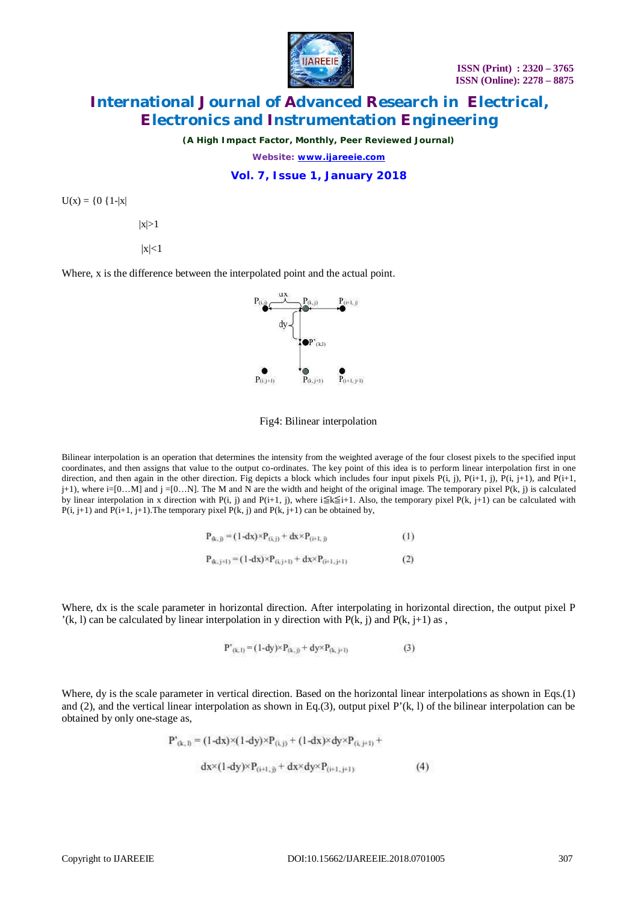

*(A High Impact Factor, Monthly, Peer Reviewed Journal)*

*Website: [www.ijareeie.com](http://www.ijareeie.com)*

**Vol. 7, Issue 1, January 2018**

 $U(x) = \{0 \{1-|x|$ 

 $|x|>1$ 

 $|x|<1$ 

Where, x is the difference between the interpolated point and the actual point.



Fig4: Bilinear interpolation

Bilinear interpolation is an operation that determines the intensity from the weighted average of the four closest pixels to the specified input coordinates, and then assigns that value to the output co-ordinates. The key point of this idea is to perform linear interpolation first in one direction, and then again in the other direction. Fig depicts a block which includes four input pixels  $P(i, j)$ ,  $P(i+1, j)$ ,  $P(i, j+1)$ , and  $P(i+1, j)$  $j+1$ ), where  $i=[0...N]$  and  $j=[0...N]$ . The M and N are the width and height of the original image. The temporary pixel  $P(k, j)$  is calculated by linear interpolation in x direction with P(i, j) and P(i+1, j), where i $\leq k \leq i+1$ . Also, the temporary pixel P(k, j+1) can be calculated with  $P(i, j+1)$  and  $P(i+1, j+1)$ . The temporary pixel  $P(k, j)$  and  $P(k, j+1)$  can be obtained by,

$$
P_{(k,j)} = (1 - dx) \times P_{(i,j)} + dx \times P_{(i+1,j)}
$$
(1)

$$
P_{(k,j+l)} = (1-dx) \times P_{(i,j+l)} + dx \times P_{(i+l,j+l)}
$$
(2)

Where, dx is the scale parameter in horizontal direction. After interpolating in horizontal direction, the output pixel P  $'(k, l)$  can be calculated by linear interpolation in y direction with  $P(k, j)$  and  $P(k, j+1)$  as,

$$
P^{\prime}_{(k,1)} = (1-dy) \times P_{(k,j)} + dy \times P_{(k,j+1)}
$$
(3)

Where, dy is the scale parameter in vertical direction. Based on the horizontal linear interpolations as shown in Eqs.(1) and  $(2)$ , and the vertical linear interpolation as shown in Eq.(3), output pixel P'(k, l) of the bilinear interpolation can be obtained by only one-stage as,

$$
P^*_{(k, 1)} = (1 - dx) \times (1 - dy) \times P_{(i, j)} + (1 - dx) \times dy \times P_{(i, j+1)} +
$$

$$
dx \times (1 - dy) \times P_{(i+1, j)} + dx \times dy \times P_{(i+1, j+1)}
$$
 (4)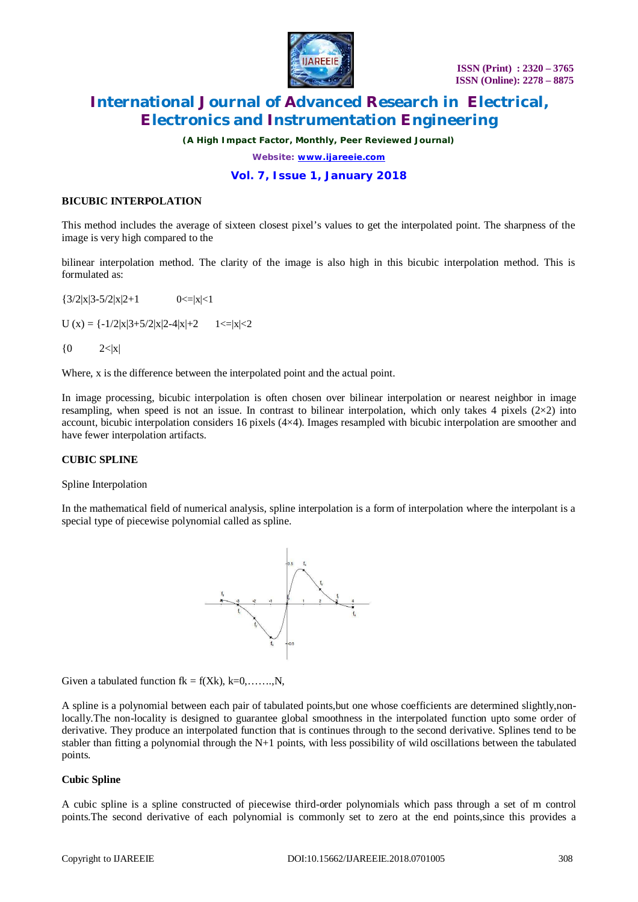

*(A High Impact Factor, Monthly, Peer Reviewed Journal)*

*Website: [www.ijareeie.com](http://www.ijareeie.com)*

### **Vol. 7, Issue 1, January 2018**

#### **BICUBIC INTERPOLATION**

This method includes the average of sixteen closest pixel's values to get the interpolated point. The sharpness of the image is very high compared to the

bilinear interpolation method. The clarity of the image is also high in this bicubic interpolation method. This is formulated as:

 $\{3/2|x|3-5/2|x|2+1$  0<=|x|<1  $U(x) = \{-1/2|x|3+5/2|x|2-4|x|+2 \qquad 1 \le |x| \le 2$  ${0 \t2<|x|}$ 

Where, x is the difference between the interpolated point and the actual point.

In image processing, bicubic interpolation is often chosen over bilinear interpolation or nearest neighbor in image resampling, when speed is not an issue. In contrast to bilinear interpolation, which only takes 4 pixels  $(2\times2)$  into account, bicubic interpolation considers 16 pixels (4×4). Images resampled with bicubic interpolation are smoother and have fewer interpolation artifacts.

#### **CUBIC SPLINE**

Spline Interpolation

In the mathematical field of numerical analysis, spline interpolation is a form of interpolation where the interpolant is a special type of piecewise polynomial called as spline.



Given a tabulated function  $fk = f(Xk)$ ,  $k=0, \ldots, N$ ,

A spline is a polynomial between each pair of tabulated points,but one whose coefficients are determined slightly,nonlocally.The non-locality is designed to guarantee global smoothness in the interpolated function upto some order of derivative. They produce an interpolated function that is continues through to the second derivative. Splines tend to be stabler than fitting a polynomial through the  $N+1$  points, with less possibility of wild oscillations between the tabulated points.

#### **Cubic Spline**

A cubic spline is a spline constructed of piecewise third-order polynomials which pass through a set of m control points.The second derivative of each polynomial is commonly set to zero at the end points,since this provides a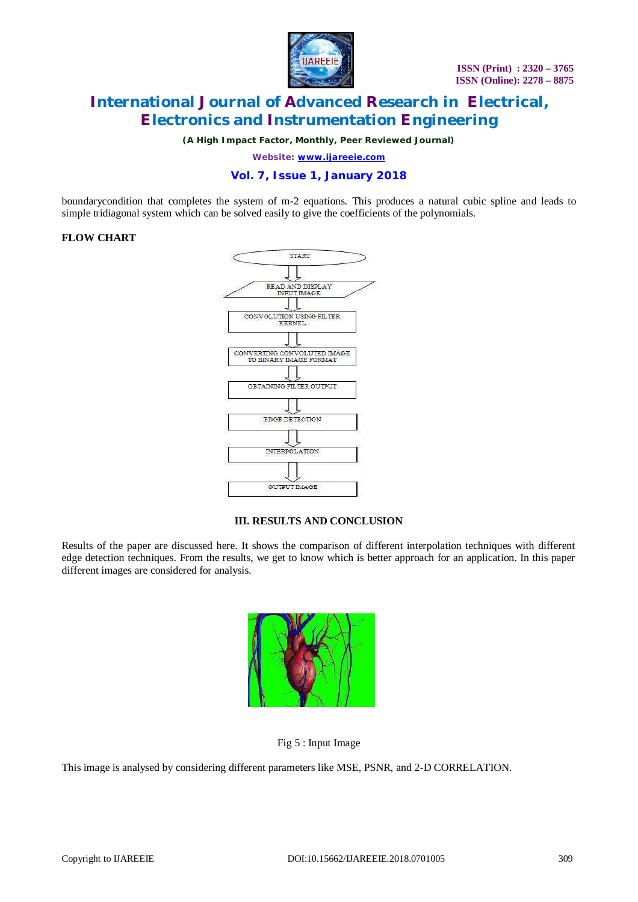

*(A High Impact Factor, Monthly, Peer Reviewed Journal)*

*Website: [www.ijareeie.com](http://www.ijareeie.com)*

## **Vol. 7, Issue 1, January 2018**

boundarycondition that completes the system of m-2 equations. This produces a natural cubic spline and leads to simple tridiagonal system which can be solved easily to give the coefficients of the polynomials.

#### **FLOW CHART**



### **III. RESULTS AND CONCLUSION**

Results of the paper are discussed here. It shows the comparison of different interpolation techniques with different edge detection techniques. From the results, we get to know which is better approach for an application. In this paper different images are considered for analysis.



Fig 5 : Input Image

This image is analysed by considering different parameters like MSE, PSNR, and 2-D CORRELATION.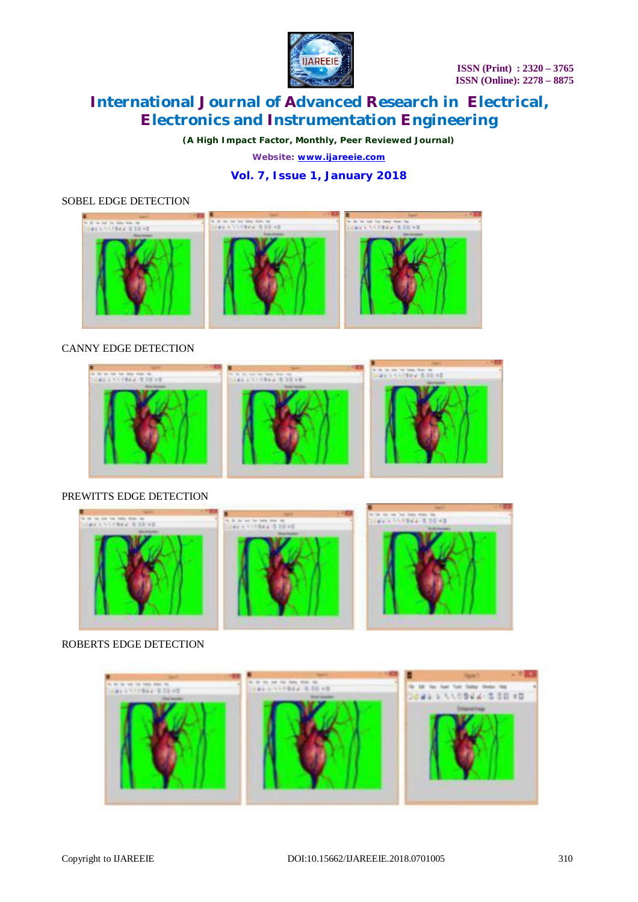

*(A High Impact Factor, Monthly, Peer Reviewed Journal)*

*Website: [www.ijareeie.com](http://www.ijareeie.com)*

# **Vol. 7, Issue 1, January 2018**

### SOBEL EDGE DETECTION



### CANNY EDGE DETECTION



### PREWITTS EDGE DETECTION



#### ROBERTS EDGE DETECTION

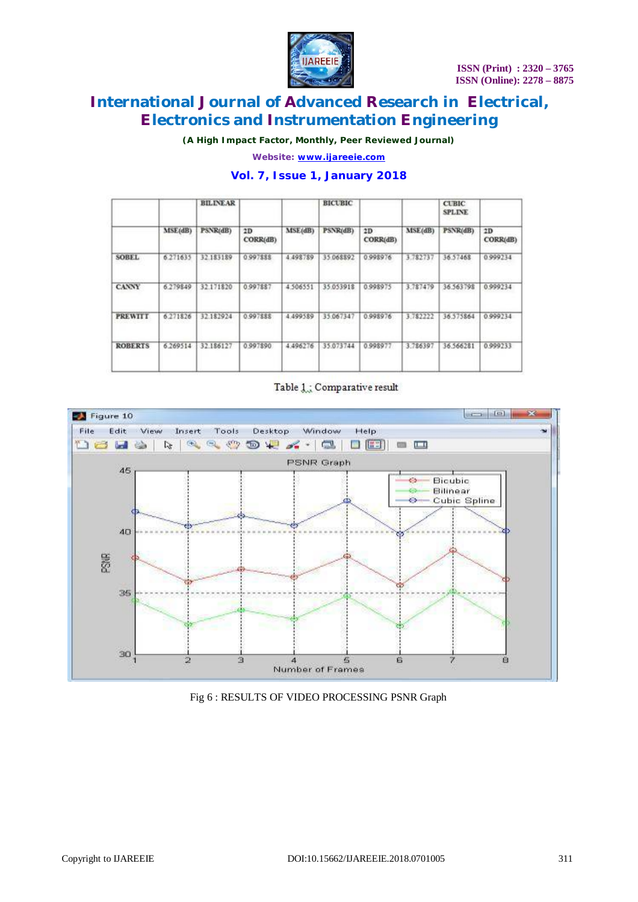

*(A High Impact Factor, Monthly, Peer Reviewed Journal)*

*Website: [www.ijareeie.com](http://www.ijareeie.com)*

## **Vol. 7, Issue 1, January 2018**

| PSNR(dB)<br>32 183189 | 2D<br>CORR(dB)<br>0.997888 | MSE(dB)  | PSNR(dB)  | 2D<br>CORR(dB) | MSE(dB)  | PSNR(dB)  | 2D       |
|-----------------------|----------------------------|----------|-----------|----------------|----------|-----------|----------|
|                       |                            |          |           |                |          |           | CORR(dB) |
|                       |                            | 4 498789 | 35.068892 | 0.998976       | 3.782737 | 36.57468  | 0.999234 |
| 32.171820             | 0.997887                   | 4 506551 | 35.053918 | 0.998975       | 3.787479 | 36.563798 | 0.999234 |
| 32.182924             | 0.997888                   | 4.499589 | 35.067347 | 0.998976       | 3.782222 | 36.575864 | 0.999234 |
| 32.186127             | 0.997890                   | 4.496276 | 35.073744 | 0.998977       | 3.786397 | 36.566281 | 0.999233 |
|                       |                            |          |           |                |          |           |          |

### Table 1.: Comparative result



#### Fig 6 : RESULTS OF VIDEO PROCESSING PSNR Graph